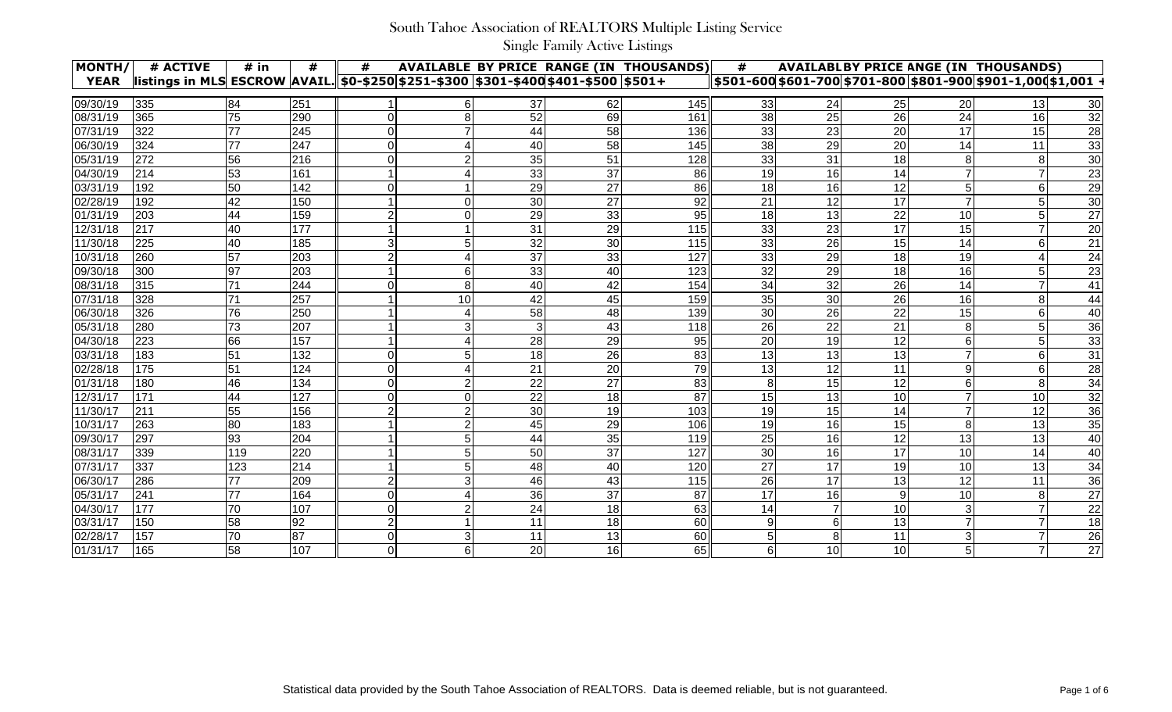| MONTH/                | # ACTIVE                                                                                | # in      | #   | #              |                      |    |    | <b>AVAILABLE BY PRICE RANGE (IN THOUSANDS)</b> | #              | <b>AVAILABLBY PRICE ANGE (IN THOUSANDS)</b> |                 |           |                |                 |
|-----------------------|-----------------------------------------------------------------------------------------|-----------|-----|----------------|----------------------|----|----|------------------------------------------------|----------------|---------------------------------------------|-----------------|-----------|----------------|-----------------|
| <b>YEAR</b>           | listings in MLS ESCROW  AVAIL. 50-\$250 \$251-\$300   \$301-\$400 \$401-\$500   \$501 + |           |     |                |                      |    |    |                                                |                |                                             |                 |           |                |                 |
| 09/30/19              | 335                                                                                     | 84        | 251 |                |                      | 37 | 62 | 145                                            | 33             | 24                                          | 25              | 20        | 13             | 30 <sup>°</sup> |
| 08/31/19              | 365                                                                                     | 75        | 290 |                |                      | 52 | 69 | 161                                            | 38             | 25                                          | 26              | 24        | 16             | 32              |
| 07/31/19              | 322                                                                                     | 77        | 245 |                |                      | 44 | 58 | 136                                            | 33             | 23                                          | 20              | 17        | 15             | 28              |
| 06/30/19              | 324                                                                                     | 77        | 247 |                |                      | 40 | 58 | 145                                            | 38             | 29                                          | 20              | 14        | 11             | 33              |
| 05/31/19              | 272                                                                                     | 56        | 216 |                |                      | 35 | 51 | 128                                            | 33             | 31                                          | 18              |           | 8              | 30              |
| 04/30/19              | 214                                                                                     | 53        | 161 |                |                      | 33 | 37 | 86                                             | 19             | 16                                          | 14              |           |                | 23              |
| 03/31/19              | 192                                                                                     | 50        | 142 |                |                      | 29 | 27 | 86                                             | 18             | 16                                          | 12              |           | 6              | $\overline{29}$ |
| 02/28/19              | 192                                                                                     | 42        | 150 |                |                      | 30 | 27 | 92                                             | 21             | 12                                          | 17              |           |                | $\overline{30}$ |
| 01/31/19              | 203                                                                                     | 44        | 159 |                |                      | 29 | 33 | 95                                             | 18             | 13                                          | 22              | 10        |                | $\overline{27}$ |
| 12/31/18              | 217                                                                                     | 40        | 177 |                |                      | 31 | 29 | 115                                            | 33             | 23                                          | 17              | 15        |                | 20              |
| 11/30/18              | 225                                                                                     | 40        | 185 |                |                      | 32 | 30 | 115                                            | 33             | 26                                          | 15              | 14        | 6              | 21              |
| 10/31/18              | 260                                                                                     | 57        | 203 |                |                      | 37 | 33 | 127                                            | 33             | 29                                          | 18              | 19        |                | 24              |
| 09/30/18              | 300                                                                                     | 97        | 203 |                |                      | 33 | 40 | 123                                            | 32             | 29                                          | 18              | 16        |                | 23              |
| 08/31/18              | 315                                                                                     | 71        | 244 |                | 8                    | 40 | 42 | 154                                            | 34             | 32                                          | 26              | 14        |                | 41              |
| 07/31/18              | 328                                                                                     | 71        | 257 |                | 10                   | 42 | 45 | 159                                            | 35             | 30                                          | 26              | 16        | 8              | 44              |
| $06/30/\overline{18}$ | 326                                                                                     | 76        | 250 |                |                      | 58 | 48 | 139                                            | 30             | 26                                          | 22              | 15        | 6              | 40              |
| 05/31/18              | 280                                                                                     | 73        | 207 |                |                      |    | 43 | 118                                            | 26             | 22                                          | 21              |           |                | 36              |
| 04/30/18              | 223                                                                                     | 66        | 157 |                |                      | 28 | 29 | $\overline{95}$                                | 20             | 19                                          | 12              |           |                | 33              |
| 03/31/18              | 183                                                                                     | 51        | 132 |                |                      | 18 | 26 | 83                                             | 13             | 13                                          | 13              |           |                | 31              |
| 02/28/18              | 175                                                                                     | 51        | 124 |                |                      | 21 | 20 | 79                                             | 13             | 12                                          | 11              |           | 6              | 28              |
| 01/31/18              | 180                                                                                     | 46        | 134 |                |                      | 22 | 27 | 83                                             | 8              | 15                                          | 12              |           |                | 34              |
| 12/31/17              | 171                                                                                     | 44        | 127 |                |                      | 22 | 18 | 87                                             | 15             | 13                                          | 10 <sup>1</sup> |           | 10             | $\frac{32}{36}$ |
| 11/30/17              | 211                                                                                     | 55        | 156 |                |                      | 30 | 19 | 103                                            | 19             | 15                                          | 14              |           | 12             |                 |
| 10/31/17              | 263                                                                                     | 80        | 183 |                |                      | 45 | 29 | 106                                            | 19             | 16                                          | 15              |           | 13             | $\overline{35}$ |
| 09/30/17              | 297                                                                                     | 93        | 204 |                | 5                    | 44 | 35 | 119                                            | 25             | 16                                          | 12              | 13        | 13             | 40              |
| 08/31/17              | 339                                                                                     | 119       | 220 |                | 5                    | 50 | 37 | 127                                            | 30             | 16                                          | 17              | 10        | 14             | 40              |
| 07/31/17              | 337                                                                                     | 123       | 214 |                |                      | 48 | 40 | 120                                            | 27             | 17                                          | 19              | 10        | 13             | 34              |
| 06/30/17              | 286                                                                                     | 77<br>. . | 209 |                |                      | 46 | 43 | 115                                            | 26             | 17<br>$\cdots$                              | 13              | 12<br>. . | 11             | 36              |
| 05/31/17              | 241                                                                                     | 77        | 164 | $\Omega$       | 4                    | 36 | 37 | 87                                             | 17             | 16                                          | 9               | 10        | 8 <sup>1</sup> | 27              |
| 04/30/17              | 177                                                                                     | 70        | 107 | 0              | $\overline{2}$       | 24 | 18 | 63                                             | 14             |                                             | 10 <sub>l</sub> |           | 7              | 22              |
| 03/31/17              | 150                                                                                     | 58        | 92  | $\overline{2}$ | $\blacktriangleleft$ | 11 | 18 | 60                                             | 9              | 6                                           | 13              |           | $\overline{7}$ | 18              |
| 02/28/17              | 157                                                                                     | 70        | 87  | 0              | $\mathbf{3}$         | 11 | 13 | 60                                             | 5 <sub>l</sub> | 8                                           | 11              | 3         |                | 26              |
| 01/31/17              | 165                                                                                     | 58        | 107 | $\overline{O}$ | $6 \overline{6}$     | 20 | 16 | 65                                             | $6 \mid$       | 10                                          | 10              |           | $\overline{7}$ | $\overline{27}$ |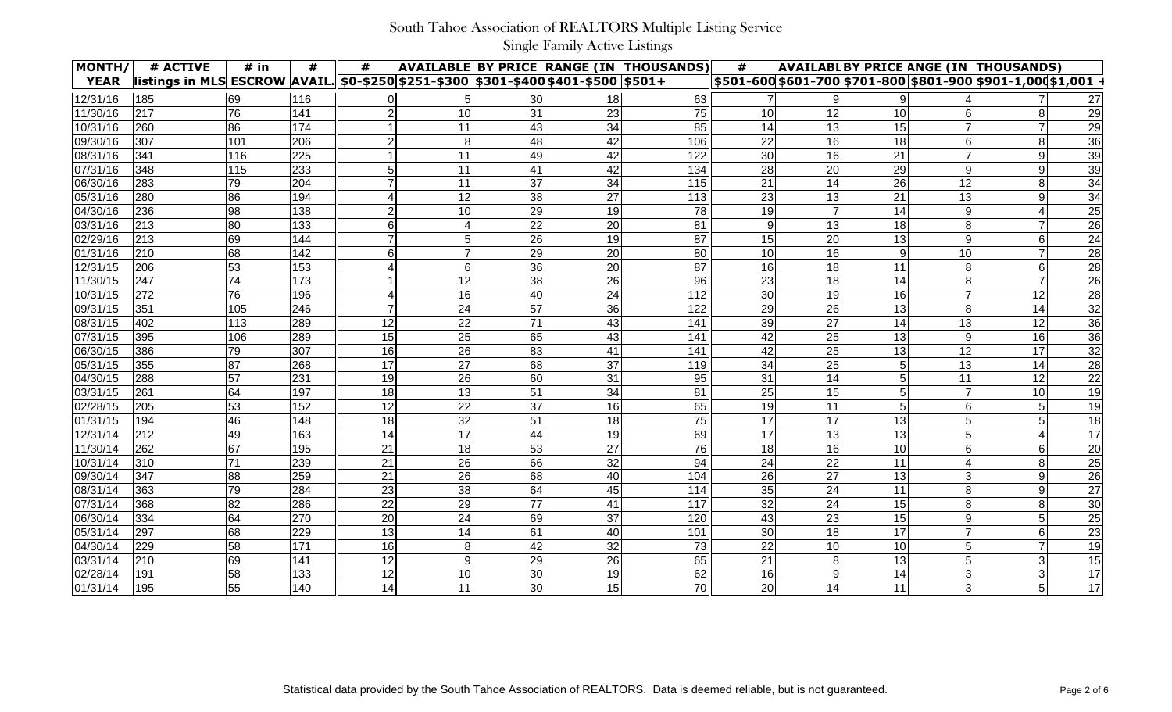| MONTH/      | # ACTIVE                                                                               | # in | #   | #  |    |    |    | <b>AVAILABLE BY PRICE RANGE (IN THOUSANDS)</b> | #               |    |                 |                | <b>AVAILABLBY PRICE ANGE (IN THOUSANDS)</b>                   |                 |
|-------------|----------------------------------------------------------------------------------------|------|-----|----|----|----|----|------------------------------------------------|-----------------|----|-----------------|----------------|---------------------------------------------------------------|-----------------|
| <b>YEAR</b> | listings in MLS ESCROW  AVAIL.  \$0-\$250 \$251-\$300  \$301-\$400 \$401-\$500  \$501+ |      |     |    |    |    |    |                                                |                 |    |                 |                | \$501-600 \$601-700 \$701-800 \$801-900 \$901-1,000 \$1,001 · |                 |
| 12/31/16    | 185                                                                                    | 69   | 116 |    |    | 30 | 18 | 63                                             |                 |    |                 |                |                                                               | 27              |
| 11/30/16    | 217                                                                                    | 76   | 141 |    | 10 | 31 | 23 | 75                                             | 10              | 12 | 10              |                |                                                               | 29              |
| 10/31/16    | 260                                                                                    | 86   | 174 |    | 11 | 43 | 34 | 85                                             | 14              | 13 | 15              |                |                                                               | 29              |
| 09/30/16    | 307                                                                                    | 101  | 206 |    | 8  | 48 | 42 | 106                                            | 22              | 16 | 18              |                | 8                                                             | 36              |
| 08/31/16    | 341                                                                                    | 116  | 225 |    | 11 | 49 | 42 | 122                                            | 30              | 16 | 21              |                |                                                               | 39              |
| 07/31/16    | 348                                                                                    | 115  | 233 |    | 11 | 41 | 42 | 134                                            | 28              | 20 | 29              |                | 9                                                             | 39              |
| 06/30/16    | 283                                                                                    | 79   | 204 |    | 11 | 37 | 34 | 115                                            | 21              | 14 | 26              | 12             |                                                               | 34              |
| 05/31/16    | 280                                                                                    | 86   | 194 |    | 12 | 38 | 27 | 113                                            | 23              | 13 | 21              | 13             | 9                                                             | $\overline{34}$ |
| 04/30/16    | 236                                                                                    | 98   | 138 |    | 10 | 29 | 19 | 78                                             | 19              |    | 14              |                |                                                               | $\overline{25}$ |
| 03/31/16    | 213                                                                                    | 80   | 133 |    |    | 22 | 20 | 81                                             | 9               | 13 | 18              |                |                                                               | $\overline{26}$ |
| 02/29/16    | 213                                                                                    | 69   | 144 |    |    | 26 | 19 | 87                                             | 15              | 20 | 13              |                |                                                               | 24              |
| 01/31/16    | 210                                                                                    | 68   | 142 |    |    | 29 | 20 | 80                                             | 10              | 16 | 9 <sub>l</sub>  | 10             |                                                               | 28              |
| 12/31/15    | 206                                                                                    | 53   | 153 |    | 6  | 36 | 20 | 87                                             | 16              | 18 | 11              |                | 6                                                             | 28              |
| 11/30/15    | 247                                                                                    | 74   | 173 |    | 12 | 38 | 26 | 96                                             | 23              | 18 | 14              |                |                                                               | 26              |
| 10/31/15    | 272                                                                                    | 76   | 196 |    | 16 | 40 | 24 | 112                                            | 30              | 19 | 16              |                | 12                                                            | 28              |
| 09/31/15    | 351                                                                                    | 105  | 246 |    | 24 | 57 | 36 | 122                                            | 29              | 26 | 13              |                | 14                                                            | 32              |
| 08/31/15    | 402                                                                                    | 113  | 289 | 12 | 22 | 71 | 43 | 141                                            | 39              | 27 | 14              | 13             | 12                                                            | 36              |
| 07/31/15    | 395                                                                                    | 106  | 289 | 15 | 25 | 65 | 43 | 141                                            | 42              | 25 | 13              |                | 16                                                            | $\overline{36}$ |
| 06/30/15    | 386                                                                                    | 79   | 307 | 16 | 26 | 83 | 41 | 141                                            | 42              | 25 | 13              | 12             | 17                                                            | 32              |
| 05/31/15    | 355                                                                                    | 87   | 268 | 17 | 27 | 68 | 37 | 119                                            | 34              | 25 |                 | 13             | 14                                                            | 28              |
| 04/30/15    | 288                                                                                    | 57   | 231 | 19 | 26 | 60 | 31 | 95                                             | 31              | 14 |                 | 11             | 12                                                            | 22              |
| 03/31/15    | 261                                                                                    | 64   | 197 | 18 | 13 | 51 | 34 | 81                                             | 25              | 15 | 5               |                | 10                                                            | 19              |
| 02/28/15    | 205                                                                                    | 53   | 152 | 12 | 22 | 37 | 16 | 65                                             | 19              | 11 | 5 <sub>l</sub>  |                |                                                               | 19              |
| 01/31/15    | 194                                                                                    | 46   | 148 | 18 | 32 | 51 | 18 | 75                                             | 17              | 17 | 13              |                |                                                               | 18              |
| 12/31/14    | 212                                                                                    | 49   | 163 | 14 | 17 | 44 | 19 | 69                                             | 17              | 13 | 13              |                |                                                               | 17              |
| 11/30/14    | 262                                                                                    | 67   | 195 | 21 | 18 | 53 | 27 | 76                                             | 18              | 16 | 10 <sup>1</sup> |                | 6                                                             | 20              |
| 10/31/14    | 310                                                                                    | 71   | 239 | 21 | 26 | 66 | 32 | 94                                             | 24              | 22 | 11              |                |                                                               | 25              |
| 09/30/14    | 347                                                                                    | 88   | 259 | 21 | 26 | 68 | 40 | 104                                            | 26              | 27 | 13              |                |                                                               | 26              |
| 08/31/14    | 363                                                                                    | 79   | 284 | 23 | 38 | 64 | 45 | 114                                            | 35              | 24 | 11              | 8              | 9                                                             | 27              |
| 07/31/14    | 368                                                                                    | 82   | 286 | 22 | 29 | 77 | 41 | 117                                            | 32              | 24 | 15              | 8              | 8                                                             | 30              |
| 06/30/14    | 334                                                                                    | 64   | 270 | 20 | 24 | 69 | 37 | 120                                            | 43              | 23 | 15              | 9              | 5                                                             | 25              |
| 05/31/14    | 297                                                                                    | 68   | 229 | 13 | 14 | 61 | 40 | 101                                            | 30 <sup>1</sup> | 18 | 17              |                | 6                                                             | 23              |
| 04/30/14    | 229                                                                                    | 58   | 171 | 16 | 8  | 42 | 32 | 73                                             | 22              | 10 | 10              |                | $\overline{7}$                                                | 19              |
| 03/31/14    | 210                                                                                    | 69   | 141 | 12 | 9  | 29 | 26 | 65                                             | 21              | 8  | 13              |                | 3                                                             | 15              |
| 02/28/14    | 191                                                                                    | 58   | 133 | 12 | 10 | 30 | 19 | 62                                             | 16              | 9  | 14              | 3              | 3                                                             | $\overline{17}$ |
| 01/31/14    | 195                                                                                    | 55   | 140 | 14 | 11 | 30 | 15 | 70                                             | 20              | 14 | 11              | 3 <sup>1</sup> | $\overline{5}$                                                | 17              |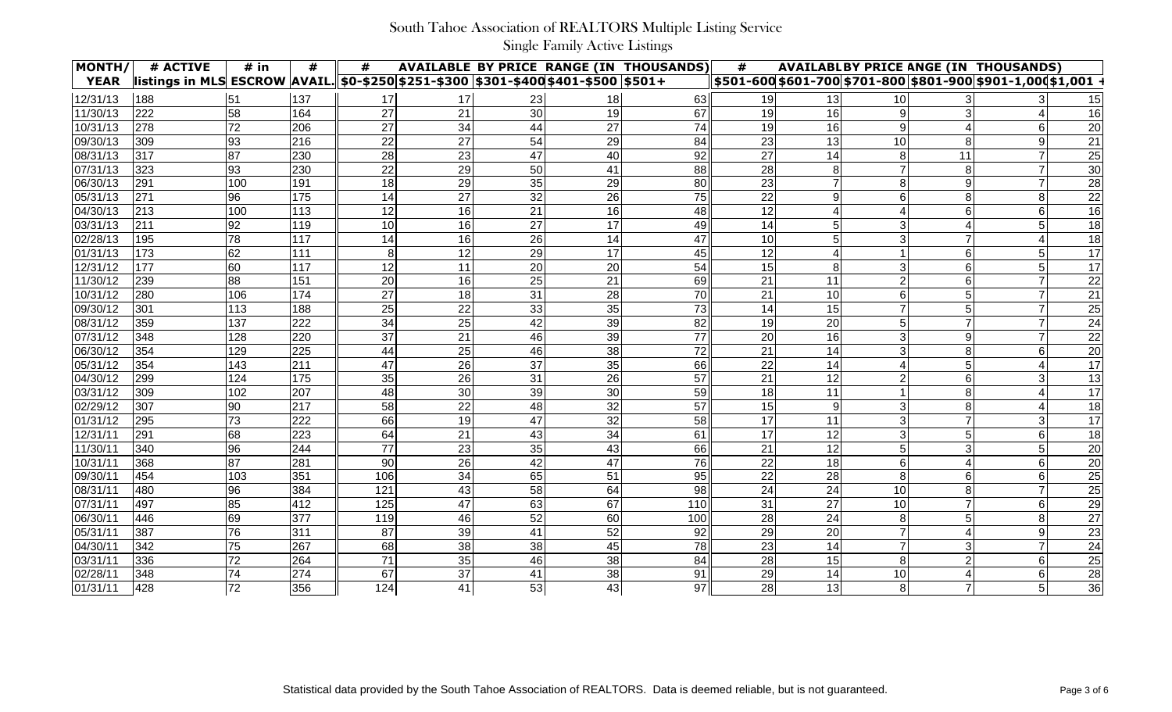| MONTH/      | # ACTIVE                                                                                       | $#$ in       | #   | #   |                 |    |    | <b>AVAILABLE BY PRICE RANGE (IN THOUSANDS)</b> | #               |    |                 |    | <b>AVAILABLBY PRICE ANGE (IN THOUSANDS)</b>                           |                 |
|-------------|------------------------------------------------------------------------------------------------|--------------|-----|-----|-----------------|----|----|------------------------------------------------|-----------------|----|-----------------|----|-----------------------------------------------------------------------|-----------------|
| <b>YEAR</b> | <u> listings in MLS ESCROW  AVAIL.  \$0-\$250 \$251-\$300  \$301-\$400 \$401-\$500  \$501+</u> |              |     |     |                 |    |    |                                                |                 |    |                 |    | <u>  \$501-600 \$601-700 \$701-800 \$801-900 \$901-1,000 \$1,001_</u> |                 |
| 12/31/13    | 188                                                                                            | 51           | 137 | 17  | 17              | 23 | 18 | 63                                             | 19              | 13 | 10I             |    |                                                                       | 15              |
| 11/30/13    | 222                                                                                            | 58           | 164 | 27  | 21              | 30 | 19 | 67                                             | 19              | 16 | $\overline{9}$  |    |                                                                       | 16              |
| 10/31/13    | 278                                                                                            | 72           | 206 | 27  | 34              | 44 | 27 | 74                                             | 19              | 16 | 9               |    |                                                                       | 20              |
| 09/30/13    | 309                                                                                            | 93           | 216 | 22  | $\overline{27}$ | 54 | 29 | 84                                             | 23              | 13 | 10              |    | 9                                                                     | $\overline{21}$ |
| 08/31/13    | 317                                                                                            | 87           | 230 | 28  | 23              | 47 | 40 | 92                                             | 27              | 14 | 8 <sup>1</sup>  | 11 |                                                                       | 25              |
| 07/31/13    | 323                                                                                            | 93           | 230 | 22  | 29              | 50 | 41 | 88                                             | 28              |    |                 |    |                                                                       | 30              |
| 06/30/13    | 291                                                                                            | 100          | 191 | 18  | 29              | 35 | 29 | 80                                             | 23              |    | 8 <sup>1</sup>  |    |                                                                       | $\overline{28}$ |
| 05/31/13    | 271                                                                                            | 96           | 175 | 14  | 27              | 32 | 26 | 75                                             | $\overline{22}$ |    | $6 \mid$        |    |                                                                       | $\overline{22}$ |
| 04/30/13    | 213                                                                                            | 100          | 113 | 12  | 16              | 21 | 16 | 48                                             | 12              |    |                 |    |                                                                       | 16              |
| 03/31/13    | 211                                                                                            | 92           | 119 | 10  | 16              | 27 | 17 | 49                                             | 14              |    | $\mathbf{3}$    |    |                                                                       | $\overline{18}$ |
| 02/28/13    | 195                                                                                            | 78           | 117 | 14  | 16              | 26 | 14 | 47                                             | 10              |    | $\mathbf{3}$    |    |                                                                       | 18              |
| 01/31/13    | 173                                                                                            | 62           | 111 | 8   | 12              | 29 | 17 | 45                                             | 12              |    |                 |    | 5                                                                     | 17              |
| 12/31/12    | 177                                                                                            | 60           | 117 | 12  | 11              | 20 | 20 | 54                                             | 15              |    |                 |    |                                                                       | 17              |
| 11/30/12    | 239                                                                                            | 88           | 151 | 20  | 16              | 25 | 21 | 69                                             | 21              | 11 |                 |    |                                                                       | 22              |
| 10/31/12    | 280                                                                                            | 106          | 174 | 27  | 18              | 31 | 28 | 70                                             | 21              | 10 | 6               |    |                                                                       | 21              |
| 09/30/12    | 301                                                                                            | 113          | 188 | 25  | 22              | 33 | 35 | 73                                             | 14              | 15 |                 |    |                                                                       | 25              |
| 08/31/12    | 359                                                                                            | 137          | 222 | 34  | 25              | 42 | 39 | 82                                             | 19              | 20 | 5               |    |                                                                       | 24              |
| 07/31/12    | 348                                                                                            | 128          | 220 | 37  | 21              | 46 | 39 | 77                                             | 20              | 16 |                 |    |                                                                       | $\overline{22}$ |
| 06/30/12    | 354                                                                                            | 129          | 225 | 44  | 25              | 46 | 38 | 72                                             | 21              | 14 | 3               |    |                                                                       | $\overline{20}$ |
| 05/31/12    | 354                                                                                            | 143          | 211 | 47  | 26              | 37 | 35 | 66                                             | 22              | 14 |                 |    |                                                                       | 17              |
| 04/30/12    | 299                                                                                            | 124          | 175 | 35  | 26              | 31 | 26 | 57                                             | 21              | 12 |                 |    |                                                                       | 13              |
| 03/31/12    | 309                                                                                            | 102          | 207 | 48  | 30              | 39 | 30 | 59                                             | 18              | 11 |                 |    |                                                                       | 17              |
| 02/29/12    | 307                                                                                            | 90           | 217 | 58  | 22              | 48 | 32 | 57                                             | 15              | 9  |                 |    |                                                                       | 18              |
| 01/31/12    | 295                                                                                            | 73           | 222 | 66  | 19              | 47 | 32 | 58                                             | 17              | 11 | 3               |    |                                                                       | 17              |
| 12/31/11    | 291                                                                                            | 68           | 223 | 64  | 21              | 43 | 34 | 61                                             | 17              | 12 | $\mathbf{3}$    |    |                                                                       | 18              |
| 11/30/11    | 340                                                                                            | 96           | 244 | 77  | 23              | 35 | 43 | 66                                             | 21              | 12 |                 |    |                                                                       | 20              |
| 10/31/11    | 368                                                                                            | 87           | 281 | 90  | 26              | 42 | 47 | 76                                             | 22              | 18 | $6 \mid$        |    | 6                                                                     | 20              |
| 09/30/11    | 454                                                                                            | 103          | 351 | 106 | 34              | 65 | 51 | 95                                             | 22              | 28 | 8 <sup>1</sup>  |    |                                                                       | $\overline{25}$ |
| 08/31/11    | 480                                                                                            | 96           | 384 | 121 | 43              | 58 | 64 | 98                                             | 24              | 24 | 10 <sup>1</sup> | 8  | $\overline{7}$                                                        | 25              |
| 07/31/11    | 497                                                                                            | 85           | 412 | 125 | 47              | 63 | 67 | 110                                            | 31              | 27 | 10 <sup>1</sup> |    | 6                                                                     | 29              |
| 06/30/11    | 446                                                                                            | 69           | 377 | 119 | 46              | 52 | 60 | 100                                            | 28              | 24 | 8 <sup>1</sup>  |    | 8                                                                     | 27              |
| 05/31/11    | 387                                                                                            | 76           | 311 | 87  | 39              | 41 | 52 | 92                                             | 29              | 20 | $\overline{7}$  |    | $9\,$                                                                 | 23              |
| 04/30/11    | 342                                                                                            | 75           | 267 | 68  | 38              | 38 | 45 | 78                                             | 23              | 14 | $\overline{7}$  |    | $\overline{7}$                                                        | 24              |
| 03/31/11    | 336                                                                                            | 72           | 264 | 71  | 35              | 46 | 38 | 84                                             | 28              | 15 | 8 <sup>1</sup>  |    | 6                                                                     | 25              |
| 02/28/11    | 348                                                                                            | 74           | 274 | 67  | 37              | 41 | 38 | 91                                             | 29              | 14 | 10              | 4  | 6                                                                     | 28              |
| 01/31/11    | 428                                                                                            | $\boxed{72}$ | 356 | 124 | 41              | 53 | 43 | 97                                             | 28              | 13 | 8 <sup>1</sup>  |    | 5                                                                     | 36              |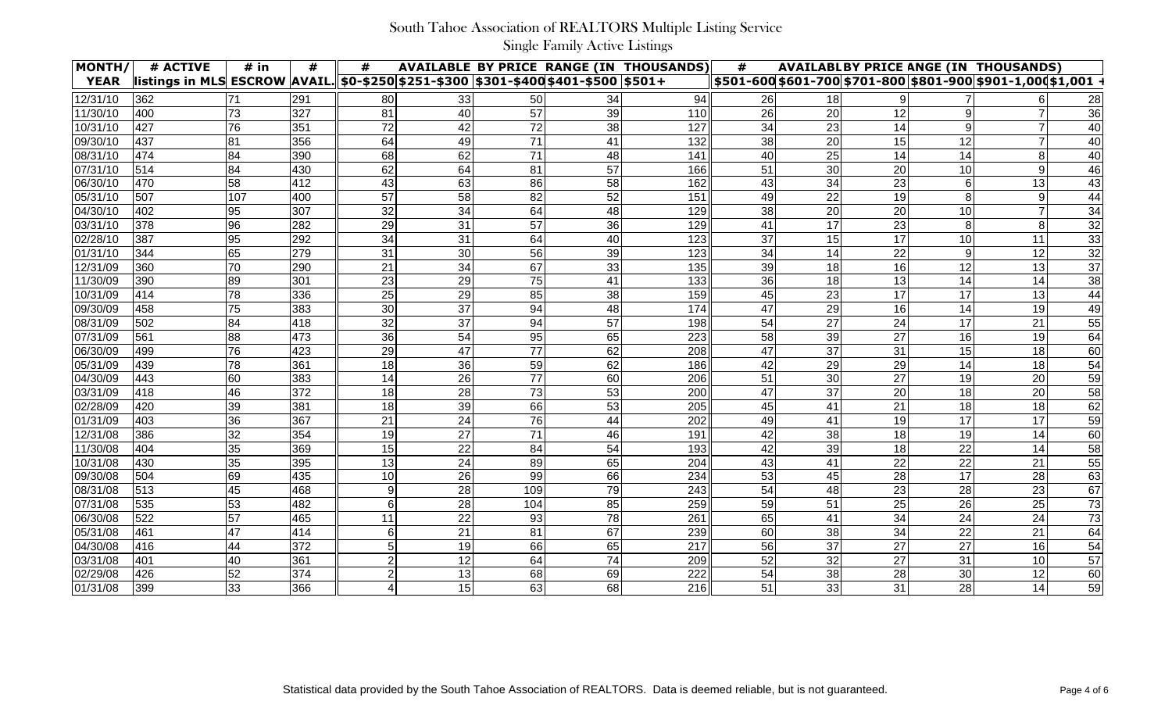| MONTH/      | # ACTIVE                                                                                | $#$ in | #   | #              |    |     |    | <b>AVAILABLE BY PRICE RANGE (IN THOUSANDS)</b> | #  |    |    |    | <b>AVAILABLBY PRICE ANGE (IN THOUSANDS)</b>                            |                 |
|-------------|-----------------------------------------------------------------------------------------|--------|-----|----------------|----|-----|----|------------------------------------------------|----|----|----|----|------------------------------------------------------------------------|-----------------|
| <b>YEAR</b> | listings in MLS ESCROW  AVAIL. 50-\$250 \$251-\$300   \$301-\$400 \$401-\$500   \$501 + |        |     |                |    |     |    |                                                |    |    |    |    | <u>  \$501-600 \$601-700 \$701-800 \$801-900 \$901-1,000 \$1,001 ·</u> |                 |
| 12/31/10    | 362                                                                                     | 71     | 291 | 80             | 33 | 50  | 34 | 94                                             | 26 | 18 |    |    |                                                                        | 28              |
| 11/30/10    | 400                                                                                     | 73     | 327 | 81             | 40 | 57  | 39 | 110                                            | 26 | 20 | 12 |    |                                                                        | 36              |
| 10/31/10    | 427                                                                                     | 76     | 351 | 72             | 42 | 72  | 38 | 127                                            | 34 | 23 | 14 |    |                                                                        | 40              |
| 09/30/10    | 437                                                                                     | 81     | 356 | 64             | 49 | 71  | 41 | 132                                            | 38 | 20 | 15 | 12 |                                                                        | 40              |
| 08/31/10    | 474                                                                                     | 84     | 390 | 68             | 62 | 71  | 48 | 141                                            | 40 | 25 | 14 | 14 |                                                                        | 40              |
| 07/31/10    | 514                                                                                     | 84     | 430 | 62             | 64 | 81  | 57 | 166                                            | 51 | 30 | 20 | 10 | 9                                                                      | 46              |
| 06/30/10    | 470                                                                                     | 58     | 412 | 43             | 63 | 86  | 58 | 162                                            | 43 | 34 | 23 |    | 13                                                                     | 43              |
| 05/31/10    | 507                                                                                     | 107    | 400 | 57             | 58 | 82  | 52 | 151                                            | 49 | 22 | 19 |    | 9                                                                      | 44              |
| 04/30/10    | 402                                                                                     | 95     | 307 | 32             | 34 | 64  | 48 | 129                                            | 38 | 20 | 20 | 10 |                                                                        | 34              |
| 03/31/10    | 378                                                                                     | 96     | 282 | 29             | 31 | 57  | 36 | 129                                            | 41 | 17 | 23 |    | 8                                                                      | 32              |
| 02/28/10    | 387                                                                                     | 95     | 292 | 34             | 31 | 64  | 40 | 123                                            | 37 | 15 | 17 | 10 | 11                                                                     | 33              |
| 01/31/10    | 344                                                                                     | 65     | 279 | 31             | 30 | 56  | 39 | 123                                            | 34 | 14 | 22 |    | 12                                                                     | $\overline{32}$ |
| 12/31/09    | 360                                                                                     | 70     | 290 | 21             | 34 | 67  | 33 | 135                                            | 39 | 18 | 16 | 12 | 13                                                                     | 37              |
| 11/30/09    | 390                                                                                     | 89     | 301 | 23             | 29 | 75  | 41 | 133                                            | 36 | 18 | 13 | 14 | 14                                                                     | 38              |
| 10/31/09    | 414                                                                                     | 78     | 336 | 25             | 29 | 85  | 38 | 159                                            | 45 | 23 | 17 | 17 | 13                                                                     | 44              |
| 09/30/09    | 458                                                                                     | 75     | 383 | 30             | 37 | 94  | 48 | 174                                            | 47 | 29 | 16 | 14 | 19                                                                     | 49              |
| 08/31/09    | 502                                                                                     | 84     | 418 | 32             | 37 | 94  | 57 | 198                                            | 54 | 27 | 24 | 17 | 21                                                                     | 55              |
| 07/31/09    | 561                                                                                     | 88     | 473 | 36             | 54 | 95  | 65 | 223                                            | 58 | 39 | 27 | 16 | 19                                                                     | 64              |
| 06/30/09    | 499                                                                                     | 76     | 423 | 29             | 47 | 77  | 62 | 208                                            | 47 | 37 | 31 | 15 | 18                                                                     | 60              |
| 05/31/09    | 439                                                                                     | 78     | 361 | 18             | 36 | 59  | 62 | 186                                            | 42 | 29 | 29 | 14 | 18                                                                     | 54              |
| 04/30/09    | 443                                                                                     | 60     | 383 | 14             | 26 | 77  | 60 | 206                                            | 51 | 30 | 27 | 19 | 20                                                                     | 59              |
| 03/31/09    | 418                                                                                     | 46     | 372 | 18             | 28 | 73  | 53 | 200                                            | 47 | 37 | 20 | 18 | 20                                                                     | 58              |
| 02/28/09    | 420                                                                                     | 39     | 381 | 18             | 39 | 66  | 53 | 205                                            | 45 | 41 | 21 | 18 | 18                                                                     | 62              |
| 01/31/09    | 403                                                                                     | 36     | 367 | 21             | 24 | 76  | 44 | 202                                            | 49 | 41 | 19 | 17 | 17                                                                     | 59              |
| 12/31/08    | 386                                                                                     | 32     | 354 | 19             | 27 | 71  | 46 | 191                                            | 42 | 38 | 18 | 19 | 14                                                                     | 60              |
| 11/30/08    | 404                                                                                     | 35     | 369 | 15             | 22 | 84  | 54 | 193                                            | 42 | 39 | 18 | 22 | 14                                                                     | 58              |
| 10/31/08    | 430                                                                                     | 35     | 395 | 13             | 24 | 89  | 65 | 204                                            | 43 | 41 | 22 | 22 | 21                                                                     | 55              |
| 09/30/08    | 1504                                                                                    | 69     | 435 | 10             | 26 | 99  | 66 | 234                                            | 53 | 45 | 28 | 17 | 28                                                                     | 63              |
| 08/31/08    | 513                                                                                     | 45     | 468 | 9              | 28 | 109 | 79 | 243                                            | 54 | 48 | 23 | 28 | 23                                                                     | 67              |
| 07/31/08    | 535                                                                                     | 53     | 482 | 6              | 28 | 104 | 85 | 259                                            | 59 | 51 | 25 | 26 | 25                                                                     | 73              |
| 06/30/08    | 522                                                                                     | 57     | 465 | 11             | 22 | 93  | 78 | 261                                            | 65 | 41 | 34 | 24 | 24                                                                     | 73              |
| 05/31/08    | 461                                                                                     | 47     | 414 | 6              | 21 | 81  | 67 | 239                                            | 60 | 38 | 34 | 22 | 21                                                                     | 64              |
| 04/30/08    | 416                                                                                     | 44     | 372 | 5              | 19 | 66  | 65 | 217                                            | 56 | 37 | 27 | 27 | 16                                                                     | 54              |
| 03/31/08    | 401                                                                                     | 40     | 361 | $\overline{2}$ | 12 | 64  | 74 | 209                                            | 52 | 32 | 27 | 31 | 10                                                                     | 57              |
| 02/29/08    | 426                                                                                     | 52     | 374 | $\overline{2}$ | 13 | 68  | 69 | 222                                            | 54 | 38 | 28 | 30 | 12                                                                     | 60              |
| 01/31/08    | 399                                                                                     | 33     | 366 | 4              | 15 | 63  | 68 | 216                                            | 51 | 33 | 31 | 28 | 14                                                                     | 59              |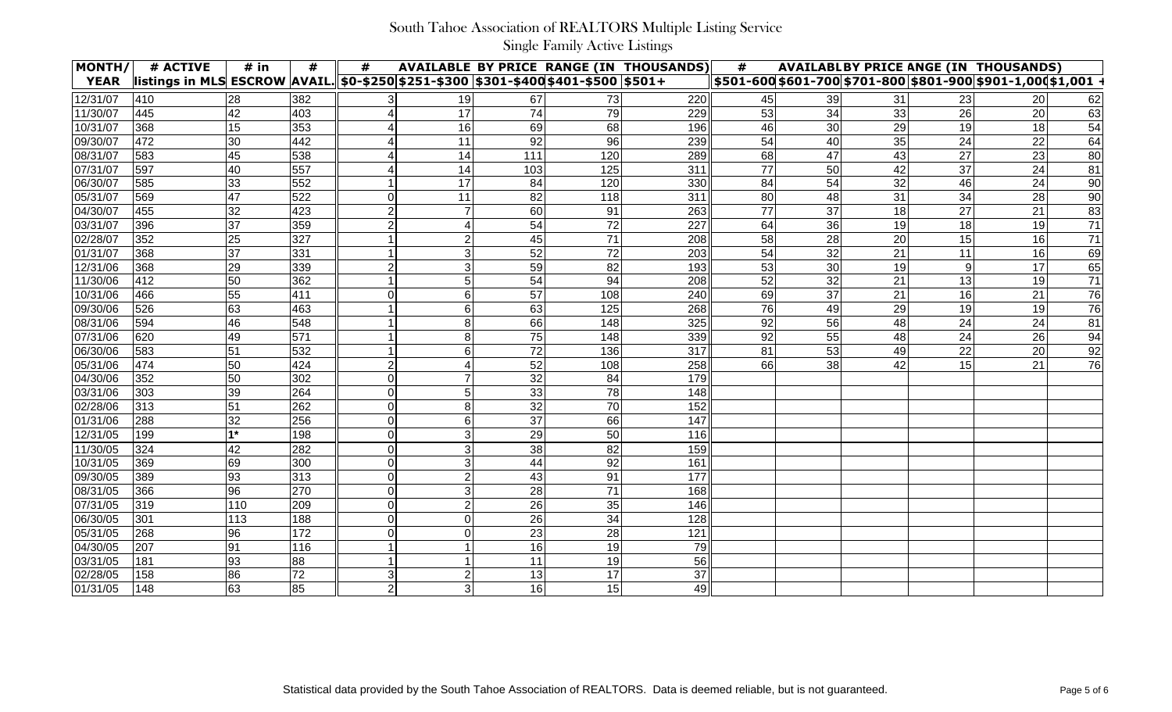| MONTH/      | # ACTIVE                                                                          | $#$ in | #   | #              |                |     |                 | <b>AVAILABLE BY PRICE RANGE (IN THOUSANDS)</b> | #               |    |    |    | <b>AVAILABLBY PRICE ANGE (IN THOUSANDS)</b>                   |                 |
|-------------|-----------------------------------------------------------------------------------|--------|-----|----------------|----------------|-----|-----------------|------------------------------------------------|-----------------|----|----|----|---------------------------------------------------------------|-----------------|
| <b>YEAR</b> | listings in MLS ESCROW AVAIL. 50-\$250 \$251-\$300 \$301-\$400 \$401-\$500 \$501+ |        |     |                |                |     |                 |                                                |                 |    |    |    | \$501-600 \$601-700 \$701-800 \$801-900 \$901-1,000 \$1,001 · |                 |
| 12/31/07    | 410                                                                               | 28     | 382 |                | 19             | 67  | 73              | 220                                            | 45              | 39 | 31 | 23 | 20                                                            | 62              |
| 11/30/07    | 445                                                                               | 42     | 403 |                | 17             | 74  | 79              | 229                                            | 53              | 34 | 33 | 26 | 20                                                            | 63              |
| 10/31/07    | 368                                                                               | 15     | 353 |                | 16             | 69  | 68              | 196                                            | 46              | 30 | 29 | 19 | 18                                                            | 54              |
| 09/30/07    | 472                                                                               | 30     | 442 |                | 11             | 92  | 96              | 239                                            | 54              | 40 | 35 | 24 | 22                                                            | 64              |
| 08/31/07    | 583                                                                               | 45     | 538 |                | 14             | 111 | 120             | 289                                            | 68              | 47 | 43 | 27 | 23                                                            | 80              |
| 07/31/07    | 597                                                                               | 40     | 557 |                | 14             | 103 | 125             | 311                                            | 77              | 50 | 42 | 37 | 24                                                            | 81              |
| 06/30/07    | 585                                                                               | 33     | 552 |                | 17             | 84  | 120             | 330                                            | 84              | 54 | 32 | 46 | 24                                                            | $\overline{90}$ |
| 05/31/07    | 569                                                                               | 47     | 522 |                | 11             | 82  | 118             | 311                                            | 80              | 48 | 31 | 34 | 28                                                            | 90              |
| 04/30/07    | 455                                                                               | 32     | 423 |                |                | 60  | 91              | 263                                            | $\overline{77}$ | 37 | 18 | 27 | 21                                                            | 83              |
| 03/31/07    | 396                                                                               | 37     | 359 |                |                | 54  | $\overline{72}$ | 227                                            | 64              | 36 | 19 | 18 | 19                                                            | $\overline{71}$ |
| 02/28/07    | 352                                                                               | 25     | 327 |                |                | 45  | 71              | 208                                            | 58              | 28 | 20 | 15 | 16                                                            | $\overline{71}$ |
| 101/31/07   | 368                                                                               | 37     | 331 |                | 3              | 52  | 72              | 203                                            | 54              | 32 | 21 | 11 | 16                                                            | 69              |
| 12/31/06    | 368                                                                               | 29     | 339 |                | 3              | 59  | 82              | 193                                            | 53              | 30 | 19 |    | 17                                                            | 65              |
| 11/30/06    | 412                                                                               | 50     | 362 |                |                | 54  | 94              | 208                                            | 52              | 32 | 21 | 13 | 19                                                            | 71              |
| 10/31/06    | 466                                                                               | 55     | 411 |                | 6              | 57  | 108             | 240                                            | 69              | 37 | 21 | 16 | 21                                                            | 76              |
| 09/30/06    | 526                                                                               | 63     | 463 |                | 6              | 63  | 125             | 268                                            | 76              | 49 | 29 | 19 | 19                                                            | 76              |
| 08/31/06    | 594                                                                               | 46     | 548 |                |                | 66  | 148             | 325                                            | 92              | 56 | 48 | 24 | 24                                                            | 81              |
| 07/31/06    | 620                                                                               | 49     | 571 |                |                | 75  | 148             | 339                                            | 92              | 55 | 48 | 24 | 26                                                            | 94              |
| 06/30/06    | 583                                                                               | 51     | 532 |                |                | 72  | 136             | 317                                            | 81              | 53 | 49 | 22 | 20                                                            | $\overline{92}$ |
| 05/31/06    | 474                                                                               | 50     | 424 |                |                | 52  | 108             | 258                                            | 66              | 38 | 42 | 15 | 21                                                            | 76              |
| 04/30/06    | 352                                                                               | 50     | 302 |                |                | 32  | 84              | 179                                            |                 |    |    |    |                                                               |                 |
| 03/31/06    | 303                                                                               | 39     | 264 |                |                | 33  | 78              | 148                                            |                 |    |    |    |                                                               |                 |
| 02/28/06    | 313                                                                               | 51     | 262 |                |                | 32  | 70              | 152                                            |                 |    |    |    |                                                               |                 |
| 01/31/06    | 288                                                                               | 32     | 256 |                | 6              | 37  | 66              | 147                                            |                 |    |    |    |                                                               |                 |
| 12/31/05    | 199                                                                               | 4*     | 198 |                |                | 29  | 50              | 116                                            |                 |    |    |    |                                                               |                 |
| 11/30/05    | 324                                                                               | 42     | 282 |                |                | 38  | 82              | 159                                            |                 |    |    |    |                                                               |                 |
| 10/31/05    | 369                                                                               | 69     | 300 |                |                | 44  | 92              | 161                                            |                 |    |    |    |                                                               |                 |
| 09/30/05    | 389                                                                               | 93     | 313 |                | $\mathcal{P}$  | 43  | 91              | 177                                            |                 |    |    |    |                                                               |                 |
| 08/31/05    | 366                                                                               | 96     | 270 | $\mathbf 0$    | 3              | 28  | 71              | 168                                            |                 |    |    |    |                                                               |                 |
| 07/31/05    | 319                                                                               | 110    | 209 | $\mathbf 0$    | $\overline{2}$ | 26  | 35              | 146                                            |                 |    |    |    |                                                               |                 |
| 06/30/05    | 301                                                                               | 113    | 188 | $\overline{0}$ | $\overline{0}$ | 26  | 34              | 128                                            |                 |    |    |    |                                                               |                 |
| 05/31/05    | 268                                                                               | 96     | 172 | $\mathbf 0$    | $\mathbf 0$    | 23  | 28              | 121                                            |                 |    |    |    |                                                               |                 |
| 04/30/05    | 207                                                                               | 91     | 116 |                |                | 16  | 19              | 79                                             |                 |    |    |    |                                                               |                 |
| 03/31/05    | 181                                                                               | 93     | 88  |                |                | 11  | 19              | 56                                             |                 |    |    |    |                                                               |                 |
| 02/28/05    | 158                                                                               | 86     | 72  | 3              | $\overline{2}$ | 13  | 17              | 37                                             |                 |    |    |    |                                                               |                 |
| 01/31/05    | 148                                                                               | 63     | 85  | $\overline{2}$ | 3              | 16  | 15              | 49                                             |                 |    |    |    |                                                               |                 |